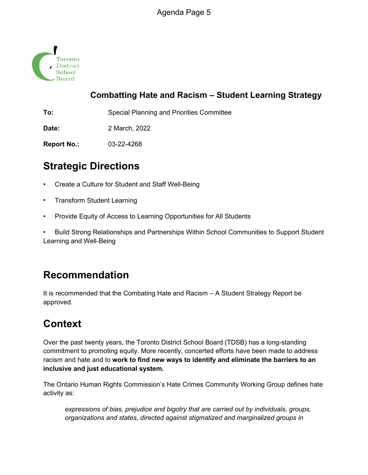

## **Combatting Hate and Racism – Student Learning Strategy**

**To:** Special Planning and Priorities Committee

**Date:** 2 March, 2022

**Report No.:** 03-22-4268

## **Strategic Directions**

- Create a Culture for Student and Staff Well-Being
- Transform Student Learning
- Provide Equity of Access to Learning Opportunities for All Students

• Build Strong Relationships and Partnerships Within School Communities to Support Student Learning and Well-Being

## **Recommendation**

It is recommended that the Combating Hate and Racism – A Student Strategy Report be approved.

# **Context**

Over the past twenty years, the Toronto District School Board (TDSB) has a long-standing commitment to promoting equity. More recently, concerted efforts have been made to address racism and hate and to **work to find new ways to identify and eliminate the barriers to an inclusive and just educational system.**

The Ontario Human Rights Commission's Hate Crimes Community Working Group defines hate activity as:

*expressions of bias, prejudice and bigotry that are carried out by individuals, groups, organizations and states, directed against stigmatized and marginalized groups in*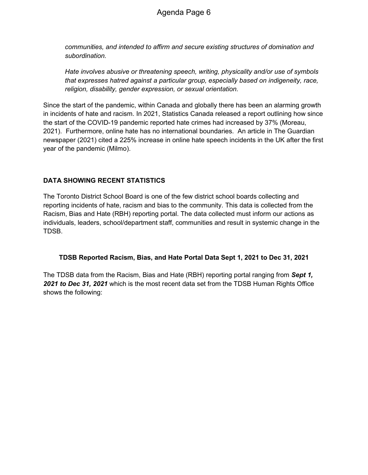*communities, and intended to affirm and secure existing structures of domination and subordination.*

*Hate involves abusive or threatening speech, writing, physicality and/or use of symbols that expresses hatred against a particular group, especially based on indigeneity, race, religion, disability, gender expression, or sexual orientation.*

Since the start of the pandemic, within Canada and globally there has been an alarming growth in incidents of hate and racism. In 2021, Statistics Canada released a report outlining how since the start of the COVID-19 pandemic reported hate crimes had increased by 37% (Moreau, 2021). Furthermore, online hate has no international boundaries. An article in The Guardian newspaper (2021) cited a 225% increase in online hate speech incidents in the UK after the first year of the pandemic (Milmo).

#### **DATA SHOWING RECENT STATISTICS**

The Toronto District School Board is one of the few district school boards collecting and reporting incidents of hate, racism and bias to the community. This data is collected from the Racism, Bias and Hate (RBH) reporting portal. The data collected must inform our actions as individuals, leaders, school/department staff, communities and result in systemic change in the TDSB.

#### **TDSB Reported Racism, Bias, and Hate Portal Data Sept 1, 2021 to Dec 31, 2021**

The TDSB data from the Racism, Bias and Hate (RBH) reporting portal ranging from *Sept 1, 2021 to Dec 31, 2021* which is the most recent data set from the TDSB Human Rights Office shows the following: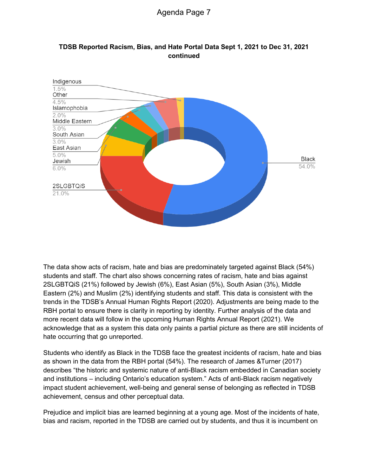

#### **TDSB Reported Racism, Bias, and Hate Portal Data Sept 1, 2021 to Dec 31, 2021 continued**

The data show acts of racism, hate and bias are predominately targeted against Black (54%) students and staff. The chart also shows concerning rates of racism, hate and bias against 2SLGBTQiS (21%) followed by Jewish (6%), East Asian (5%), South Asian (3%), Middle Eastern (2%) and Muslim (2%) identifying students and staff. This data is consistent with the trends in the TDSB's Annual Human Rights Report (2020). Adjustments are being made to the RBH portal to ensure there is clarity in reporting by identity. Further analysis of the data and more recent data will follow in the upcoming Human Rights Annual Report (2021). We acknowledge that as a system this data only paints a partial picture as there are still incidents of hate occurring that go unreported.

Students who identify as Black in the TDSB face the greatest incidents of racism, hate and bias as shown in the data from the RBH portal (54%). The research of James &Turner (2017) describes "the historic and systemic nature of anti-Black racism embedded in Canadian society and institutions – including Ontario's education system." Acts of anti-Black racism negatively impact student achievement, well-being and general sense of belonging as reflected in TDSB achievement, census and other perceptual data.

Prejudice and implicit bias are learned beginning at a young age. Most of the incidents of hate, bias and racism, reported in the TDSB are carried out by students, and thus it is incumbent on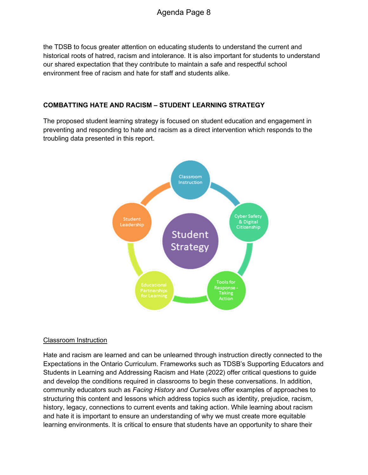the TDSB to focus greater attention on educating students to understand the current and historical roots of hatred, racism and intolerance. It is also important for students to understand our shared expectation that they contribute to maintain a safe and respectful school environment free of racism and hate for staff and students alike.

#### **COMBATTING HATE AND RACISM – STUDENT LEARNING STRATEGY**

The proposed student learning strategy is focused on student education and engagement in preventing and responding to hate and racism as a direct intervention which responds to the troubling data presented in this report.



#### Classroom Instruction

Hate and racism are learned and can be unlearned through instruction directly connected to the Expectations in the Ontario Curriculum. Frameworks such as TDSB's Supporting Educators and Students in Learning and Addressing Racism and Hate (2022) offer critical questions to guide and develop the conditions required in classrooms to begin these conversations. In addition, community educators such as *Facing History and Ourselves* offer examples of approaches to structuring this content and lessons which address topics such as identity, prejudice, racism, history, legacy, connections to current events and taking action. While learning about racism and hate it is important to ensure an understanding of why we must create more equitable learning environments. It is critical to ensure that students have an opportunity to share their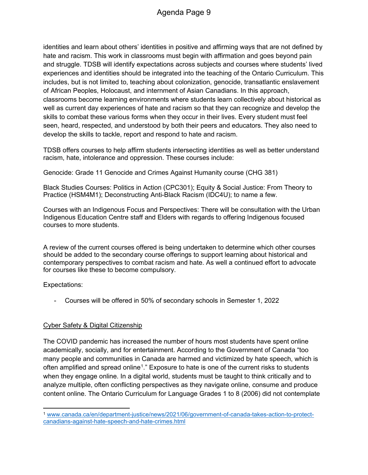identities and learn about others' identities in positive and affirming ways that are not defined by hate and racism. This work in classrooms must begin with affirmation and goes beyond pain and struggle. TDSB will identify expectations across subjects and courses where students' lived experiences and identities should be integrated into the teaching of the Ontario Curriculum. This includes, but is not limited to, teaching about colonization, genocide, transatlantic enslavement of African Peoples, Holocaust, and internment of Asian Canadians. In this approach, classrooms become learning environments where students learn collectively about historical as well as current day experiences of hate and racism so that they can recognize and develop the skills to combat these various forms when they occur in their lives. Every student must feel seen, heard, respected, and understood by both their peers and educators. They also need to develop the skills to tackle, report and respond to hate and racism.

TDSB offers courses to help affirm students intersecting identities as well as better understand racism, hate, intolerance and oppression. These courses include:

Genocide: Grade 11 Genocide and Crimes Against Humanity course (CHG 381)

Black Studies Courses: Politics in Action (CPC301); Equity & Social Justice: From Theory to Practice (HSM4M1); Deconstructing Anti-Black Racism (IDC4U); to name a few.

Courses with an Indigenous Focus and Perspectives: There will be consultation with the Urban Indigenous Education Centre staff and Elders with regards to offering Indigenous focused courses to more students.

A review of the current courses offered is being undertaken to determine which other courses should be added to the secondary course offerings to support learning about historical and contemporary perspectives to combat racism and hate. As well a continued effort to advocate for courses like these to become compulsory.

Expectations:

- Courses will be offered in 50% of secondary schools in Semester 1, 2022

#### Cyber Safety & Digital Citizenship

The COVID pandemic has increased the number of hours most students have spent online academically, socially, and for entertainment. According to the Government of Canada "too many people and communities in Canada are harmed and victimized by hate speech, which is often amplified and spread online<sup>1</sup>." Exposure to hate is one of the current risks to students when they engage online. In a digital world, students must be taught to think critically and to analyze multiple, often conflicting perspectives as they navigate online, consume and produce content online. The Ontario Curriculum for Language Grades 1 to 8 (2006) did not contemplate

<sup>1</sup> www.canada.ca/en/department-justice/news/2021/06/government-of-canada-takes-action-to-protectcanadians-against-hate-speech-and-hate-crimes.html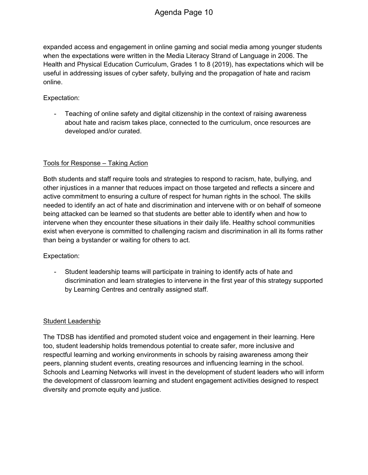expanded access and engagement in online gaming and social media among younger students when the expectations were written in the Media Literacy Strand of Language in 2006. The Health and Physical Education Curriculum, Grades 1 to 8 (2019), has expectations which will be useful in addressing issues of cyber safety, bullying and the propagation of hate and racism online.

#### Expectation:

- Teaching of online safety and digital citizenship in the context of raising awareness about hate and racism takes place, connected to the curriculum, once resources are developed and/or curated.

#### Tools for Response – Taking Action

Both students and staff require tools and strategies to respond to racism, hate, bullying, and other injustices in a manner that reduces impact on those targeted and reflects a sincere and active commitment to ensuring a culture of respect for human rights in the school. The skills needed to identify an act of hate and discrimination and intervene with or on behalf of someone being attacked can be learned so that students are better able to identify when and how to intervene when they encounter these situations in their daily life. Healthy school communities exist when everyone is committed to challenging racism and discrimination in all its forms rather than being a bystander or waiting for others to act.

#### Expectation:

Student leadership teams will participate in training to identify acts of hate and discrimination and learn strategies to intervene in the first year of this strategy supported by Learning Centres and centrally assigned staff.

#### Student Leadership

The TDSB has identified and promoted student voice and engagement in their learning. Here too, student leadership holds tremendous potential to create safer, more inclusive and respectful learning and working environments in schools by raising awareness among their peers, planning student events, creating resources and influencing learning in the school. Schools and Learning Networks will invest in the development of student leaders who will inform the development of classroom learning and student engagement activities designed to respect diversity and promote equity and justice.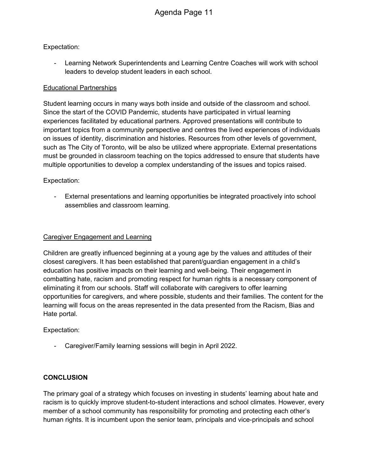#### Expectation:

Learning Network Superintendents and Learning Centre Coaches will work with school leaders to develop student leaders in each school.

#### Educational Partnerships

Student learning occurs in many ways both inside and outside of the classroom and school. Since the start of the COVID Pandemic, students have participated in virtual learning experiences facilitated by educational partners. Approved presentations will contribute to important topics from a community perspective and centres the lived experiences of individuals on issues of identity, discrimination and histories. Resources from other levels of government, such as The City of Toronto, will be also be utilized where appropriate. External presentations must be grounded in classroom teaching on the topics addressed to ensure that students have multiple opportunities to develop a complex understanding of the issues and topics raised.

#### Expectation:

- External presentations and learning opportunities be integrated proactively into school assemblies and classroom learning.

#### Caregiver Engagement and Learning

Children are greatly influenced beginning at a young age by the values and attitudes of their closest caregivers. It has been established that parent/guardian engagement in a child's education has positive impacts on their learning and well-being. Their engagement in combatting hate, racism and promoting respect for human rights is a necessary component of eliminating it from our schools. Staff will collaborate with caregivers to offer learning opportunities for caregivers, and where possible, students and their families. The content for the learning will focus on the areas represented in the data presented from the Racism, Bias and Hate portal.

Expectation:

- Caregiver/Family learning sessions will begin in April 2022.

#### **CONCLUSION**

The primary goal of a strategy which focuses on investing in students' learning about hate and racism is to quickly improve student-to-student interactions and school climates. However, every member of a school community has responsibility for promoting and protecting each other's human rights. It is incumbent upon the senior team, principals and vice-principals and school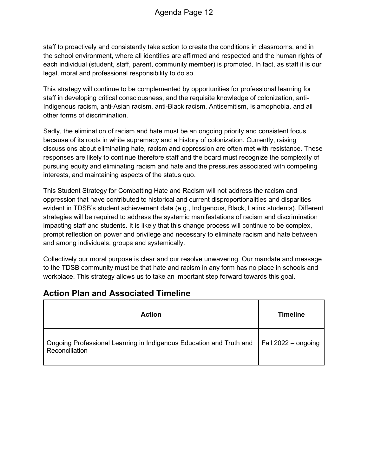staff to proactively and consistently take action to create the conditions in classrooms, and in the school environment, where all identities are affirmed and respected and the human rights of each individual (student, staff, parent, community member) is promoted. In fact, as staff it is our legal, moral and professional responsibility to do so.

This strategy will continue to be complemented by opportunities for professional learning for staff in developing critical consciousness, and the requisite knowledge of colonization, anti-Indigenous racism, anti-Asian racism, anti-Black racism, Antisemitism, Islamophobia, and all other forms of discrimination.

Sadly, the elimination of racism and hate must be an ongoing priority and consistent focus because of its roots in white supremacy and a history of colonization. Currently, raising discussions about eliminating hate, racism and oppression are often met with resistance. These responses are likely to continue therefore staff and the board must recognize the complexity of pursuing equity and eliminating racism and hate and the pressures associated with competing interests, and maintaining aspects of the status quo.

This Student Strategy for Combatting Hate and Racism will not address the racism and oppression that have contributed to historical and current disproportionalities and disparities evident in TDSB's student achievement data (e.g., Indigenous, Black, Latinx students). Different strategies will be required to address the systemic manifestations of racism and discrimination impacting staff and students. It is likely that this change process will continue to be complex, prompt reflection on power and privilege and necessary to eliminate racism and hate between and among individuals, groups and systemically.

Collectively our moral purpose is clear and our resolve unwavering. Our mandate and message to the TDSB community must be that hate and racism in any form has no place in schools and workplace. This strategy allows us to take an important step forward towards this goal.

## **Action Plan and Associated Timeline**

| <b>Action</b>                                                                         | <b>Timeline</b>             |
|---------------------------------------------------------------------------------------|-----------------------------|
| Ongoing Professional Learning in Indigenous Education and Truth and<br>Reconciliation | $\vert$ Fall 2022 – ongoing |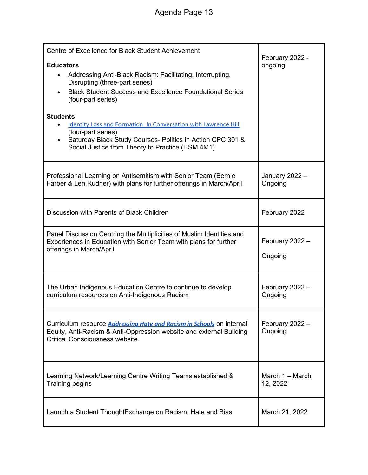| Centre of Excellence for Black Student Achievement<br><b>Educators</b><br>Addressing Anti-Black Racism: Facilitating, Interrupting,<br>Disrupting (three-part series)<br><b>Black Student Success and Excellence Foundational Series</b><br>$\bullet$<br>(four-part series)<br><b>Students</b><br>Identity Loss and Formation: In Conversation with Lawrence Hill<br>(four-part series)<br>Saturday Black Study Courses- Politics in Action CPC 301 &<br>Social Justice from Theory to Practice (HSM 4M1) | February 2022 -<br>ongoing    |
|-----------------------------------------------------------------------------------------------------------------------------------------------------------------------------------------------------------------------------------------------------------------------------------------------------------------------------------------------------------------------------------------------------------------------------------------------------------------------------------------------------------|-------------------------------|
| Professional Learning on Antisemitism with Senior Team (Bernie<br>Farber & Len Rudner) with plans for further offerings in March/April                                                                                                                                                                                                                                                                                                                                                                    | January 2022 -<br>Ongoing     |
| Discussion with Parents of Black Children                                                                                                                                                                                                                                                                                                                                                                                                                                                                 | February 2022                 |
| Panel Discussion Centring the Multiplicities of Muslim Identities and<br>Experiences in Education with Senior Team with plans for further<br>offerings in March/April                                                                                                                                                                                                                                                                                                                                     | February 2022 -<br>Ongoing    |
| The Urban Indigenous Education Centre to continue to develop<br>curriculum resources on Anti-Indigenous Racism                                                                                                                                                                                                                                                                                                                                                                                            | February 2022 -<br>Ongoing    |
| Curriculum resource <b>Addressing Hate and Racism in Schools</b> on internal<br>Equity, Anti-Racism & Anti-Oppression website and external Building<br><b>Critical Consciousness website.</b>                                                                                                                                                                                                                                                                                                             | February 2022 -<br>Ongoing    |
| Learning Network/Learning Centre Writing Teams established &<br>Training begins                                                                                                                                                                                                                                                                                                                                                                                                                           | March $1 -$ March<br>12, 2022 |
| Launch a Student ThoughtExchange on Racism, Hate and Bias                                                                                                                                                                                                                                                                                                                                                                                                                                                 | March 21, 2022                |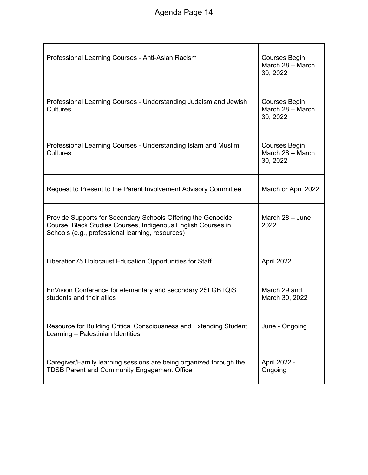| Professional Learning Courses - Anti-Asian Racism                                                                                                                                | <b>Courses Begin</b><br>March 28 - March<br>30, 2022 |
|----------------------------------------------------------------------------------------------------------------------------------------------------------------------------------|------------------------------------------------------|
| Professional Learning Courses - Understanding Judaism and Jewish<br><b>Cultures</b>                                                                                              | <b>Courses Begin</b><br>March 28 - March<br>30, 2022 |
| Professional Learning Courses - Understanding Islam and Muslim<br><b>Cultures</b>                                                                                                | <b>Courses Begin</b><br>March 28 - March<br>30, 2022 |
| Request to Present to the Parent Involvement Advisory Committee                                                                                                                  | March or April 2022                                  |
| Provide Supports for Secondary Schools Offering the Genocide<br>Course, Black Studies Courses, Indigenous English Courses in<br>Schools (e.g., professional learning, resources) | March $28 -$ June<br>2022                            |
| Liberation75 Holocaust Education Opportunities for Staff                                                                                                                         | April 2022                                           |
| EnVision Conference for elementary and secondary 2SLGBTQIS<br>students and their allies                                                                                          | March 29 and<br>March 30, 2022                       |
| Resource for Building Critical Consciousness and Extending Student<br>Learning - Palestinian Identities                                                                          | June - Ongoing                                       |
| Caregiver/Family learning sessions are being organized through the<br><b>TDSB Parent and Community Engagement Office</b>                                                         | April 2022 -<br>Ongoing                              |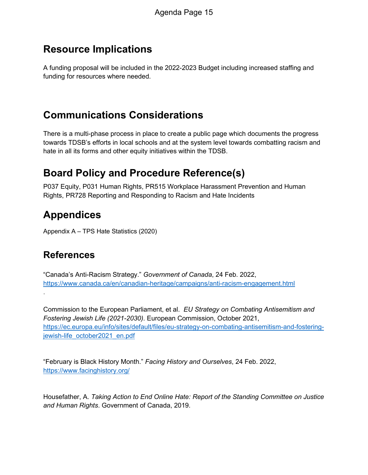## **Resource Implications**

A funding proposal will be included in the 2022-2023 Budget including increased staffing and funding for resources where needed.

# **Communications Considerations**

There is a multi-phase process in place to create a public page which documents the progress towards TDSB's efforts in local schools and at the system level towards combatting racism and hate in all its forms and other equity initiatives within the TDSB.

# **Board Policy and Procedure Reference(s)**

P037 Equity, P031 Human Rights, PR515 Workplace Harassment Prevention and Human Rights, PR728 Reporting and Responding to Racism and Hate Incidents

# **Appendices**

Appendix A – TPS Hate Statistics (2020)

## **References**

.

"Canada's Anti-Racism Strategy." *Government of Canada*, 24 Feb. 2022, https://www.canada.ca/en/canadian-heritage/campaigns/anti-racism-engagement.html

Commission to the European Parliament, et al. *EU Strategy on Combating Antisemitism and Fostering Jewish Life (2021-2030)*. European Commission, October 2021, https://ec.europa.eu/info/sites/default/files/eu-strategy-on-combating-antisemitism-and-fosteringjewish-life\_october2021\_en.pdf

"February is Black History Month." *Facing History and Ourselves*, 24 Feb. 2022, https://www.facinghistory.org/

Housefather, A. *Taking Action to End Online Hate: Report of the Standing Committee on Justice and Human Rights*. Government of Canada, 2019.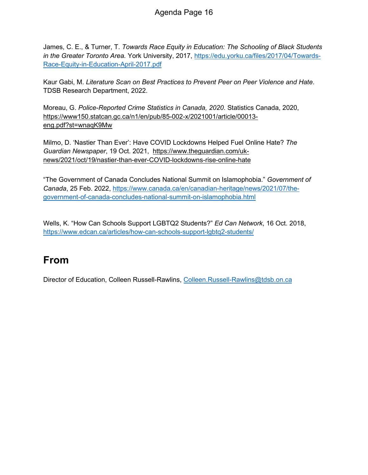James, C. E., & Turner, T. *Towards Race Equity in Education: The Schooling of Black Students in the Greater Toronto Area.* York University, 2017, https://edu.yorku.ca/files/2017/04/Towards-Race-Equity-in-Education-April-2017.pdf

Kaur Gabi, M. *Literature Scan on Best Practices to Prevent Peer on Peer Violence and Hate*. TDSB Research Department, 2022.

Moreau, G. *Police-Reported Crime Statistics in Canada, 2020*. Statistics Canada, 2020, https://www150.statcan.gc.ca/n1/en/pub/85-002-x/2021001/article/00013 eng.pdf?st=wnaqK9Mw

Milmo, D. 'Nastier Than Ever': Have COVID Lockdowns Helped Fuel Online Hate? *The Guardian Newspaper*, 19 Oct. 2021, https://www.theguardian.com/uknews/2021/oct/19/nastier-than-ever-COVID-lockdowns-rise-online-hate

"The Government of Canada Concludes National Summit on Islamophobia." *Government of Canada*, 25 Feb. 2022, https://www.canada.ca/en/canadian-heritage/news/2021/07/thegovernment-of-canada-concludes-national-summit-on-islamophobia.html

Wells, K. "How Can Schools Support LGBTQ2 Students?" *Ed Can Network*, 16 Oct. 2018, https://www.edcan.ca/articles/how-can-schools-support-lgbtq2-students/

## **From**

Director of Education, Colleen Russell-Rawlins, Colleen.Russell-Rawlins@tdsb.on.ca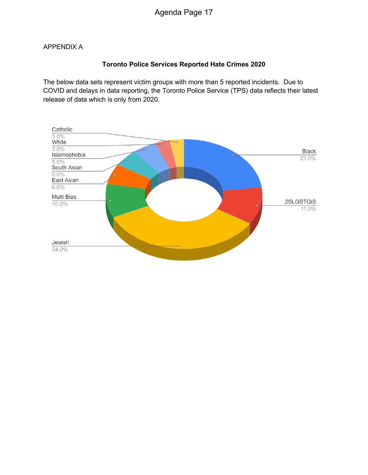#### APPENDIX A

#### **Toronto Police Services Reported Hate Crimes 2020**

The below data sets represent victim groups with more than 5 reported incidents. Due to COVID and delays in data reporting, the Toronto Police Service (TPS) data reflects their latest release of data which is only from 2020.